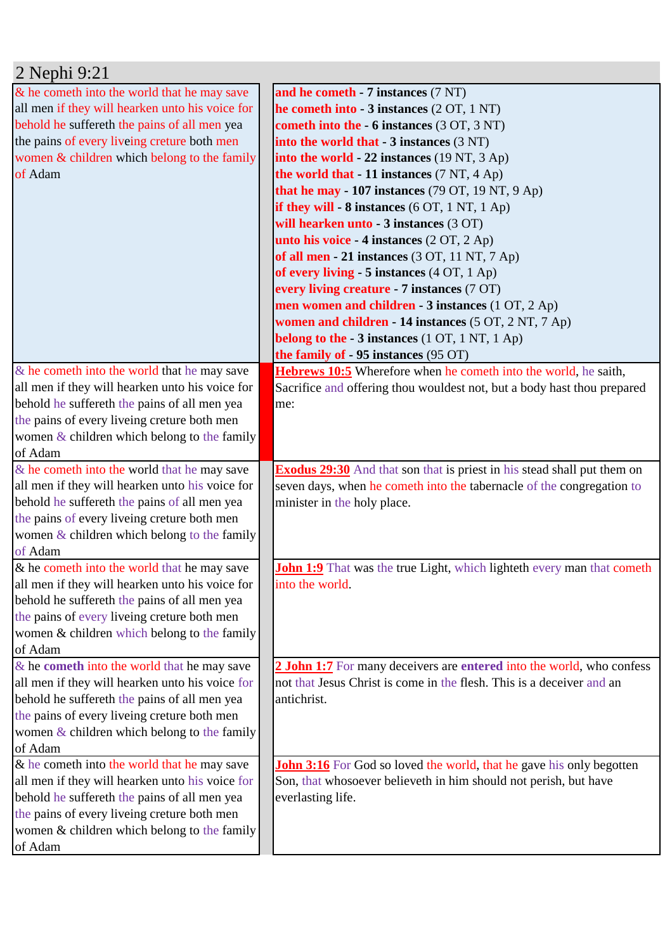| 2 Nephi 9:21                                                                                    |                                                                                                                                                |
|-------------------------------------------------------------------------------------------------|------------------------------------------------------------------------------------------------------------------------------------------------|
| & he cometh into the world that he may save                                                     | and he cometh - 7 instances (7 NT)                                                                                                             |
| all men if they will hearken unto his voice for                                                 | he cometh into $-3$ instances $(2 OT, 1 NT)$                                                                                                   |
| behold he suffereth the pains of all men yea                                                    | cometh into the - 6 instances (3 OT, 3 NT)                                                                                                     |
| the pains of every liveing creture both men                                                     | into the world that - 3 instances (3 NT)                                                                                                       |
| women & children which belong to the family                                                     | into the world - 22 instances (19 NT, 3 Ap)                                                                                                    |
| of Adam                                                                                         | the world that - 11 instances (7 NT, 4 Ap)                                                                                                     |
|                                                                                                 | that he may - 107 instances (79 OT, 19 NT, 9 Ap)                                                                                               |
|                                                                                                 | if they will $-8$ instances (6 OT, 1 NT, 1 Ap)                                                                                                 |
|                                                                                                 | will hearken unto - 3 instances (3 OT)                                                                                                         |
|                                                                                                 | unto his voice - 4 instances (2 OT, 2 Ap)                                                                                                      |
|                                                                                                 | of all men - 21 instances (3 OT, 11 NT, 7 Ap)                                                                                                  |
|                                                                                                 | of every living - 5 instances (4 OT, 1 Ap)                                                                                                     |
|                                                                                                 | every living creature - 7 instances (7 OT)                                                                                                     |
|                                                                                                 | men women and children - 3 instances (1 OT, 2 Ap)                                                                                              |
|                                                                                                 | women and children - 14 instances (5 OT, 2 NT, 7 Ap)                                                                                           |
|                                                                                                 | belong to the - 3 instances (1 OT, 1 NT, 1 Ap)                                                                                                 |
|                                                                                                 | the family of - 95 instances (95 OT)                                                                                                           |
| & he cometh into the world that he may save                                                     | <b>Hebrews 10:5</b> Wherefore when he cometh into the world, he saith,                                                                         |
| all men if they will hearken unto his voice for                                                 | Sacrifice and offering thou wouldest not, but a body hast thou prepared                                                                        |
| behold he suffereth the pains of all men yea                                                    | me:                                                                                                                                            |
| the pains of every liveing creture both men                                                     |                                                                                                                                                |
| women $&$ children which belong to the family                                                   |                                                                                                                                                |
| of Adam                                                                                         |                                                                                                                                                |
| & he cometh into the world that he may save                                                     | <b>Exodus 29:30</b> And that son that is priest in his stead shall put them on                                                                 |
| all men if they will hearken unto his voice for                                                 | seven days, when he cometh into the tabernacle of the congregation to                                                                          |
| behold he suffereth the pains of all men yea                                                    | minister in the holy place.                                                                                                                    |
| the pains of every liveing creture both men                                                     |                                                                                                                                                |
| women $\&$ children which belong to the family                                                  |                                                                                                                                                |
| of Adam                                                                                         |                                                                                                                                                |
| & he cometh into the world that he may save                                                     | John 1:9 That was the true Light, which lighteth every man that cometh                                                                         |
| all men if they will hearken unto his voice for                                                 | into the world.                                                                                                                                |
| behold he suffereth the pains of all men yea                                                    |                                                                                                                                                |
| the pains of every liveing creture both men                                                     |                                                                                                                                                |
| women & children which belong to the family                                                     |                                                                                                                                                |
| of Adam                                                                                         |                                                                                                                                                |
| & he cometh into the world that he may save                                                     | 2 John 1:7 For many deceivers are entered into the world, who confess<br>not that Jesus Christ is come in the flesh. This is a deceiver and an |
| all men if they will hearken unto his voice for<br>behold he suffereth the pains of all men yea | antichrist.                                                                                                                                    |
| the pains of every liveing creture both men                                                     |                                                                                                                                                |
| women $&$ children which belong to the family                                                   |                                                                                                                                                |
| of Adam                                                                                         |                                                                                                                                                |
|                                                                                                 |                                                                                                                                                |
|                                                                                                 |                                                                                                                                                |
| & he cometh into the world that he may save                                                     | John 3:16 For God so loved the world, that he gave his only begotten                                                                           |
| all men if they will hearken unto his voice for                                                 | Son, that whosoever believeth in him should not perish, but have                                                                               |
| behold he suffereth the pains of all men yea                                                    | everlasting life.                                                                                                                              |
| the pains of every liveing creture both men<br>women & children which belong to the family      |                                                                                                                                                |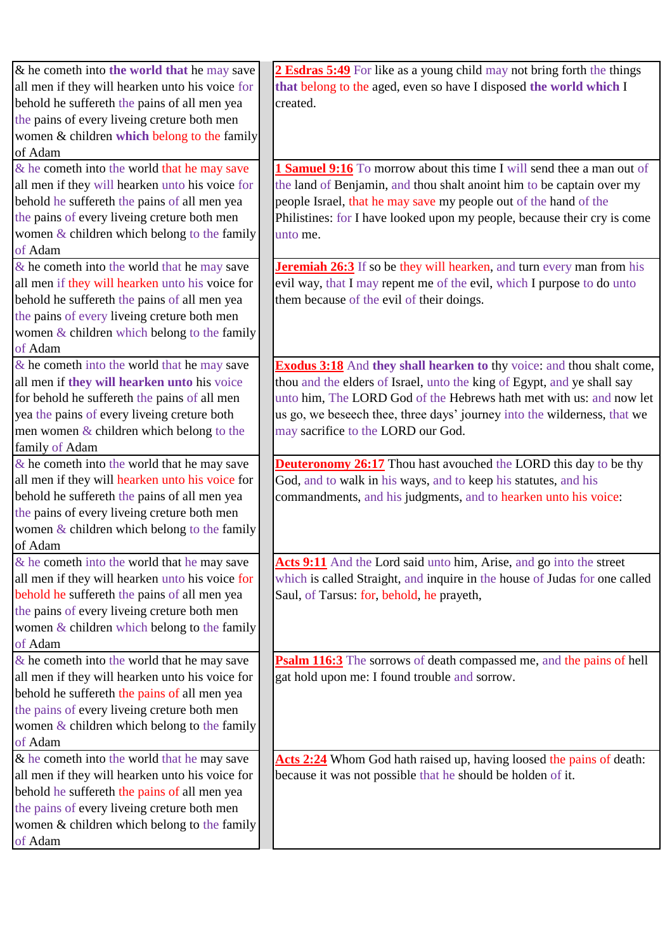| $\&$ he cometh into the world that he may save  | 2 Esdras 5:49 For like as a young child may not bring forth the things       |
|-------------------------------------------------|------------------------------------------------------------------------------|
| all men if they will hearken unto his voice for | that belong to the aged, even so have I disposed the world which I           |
| behold he suffereth the pains of all men yea    | created.                                                                     |
| the pains of every liveing creture both men     |                                                                              |
| women & children which belong to the family     |                                                                              |
| of Adam                                         |                                                                              |
| & he cometh into the world that he may save     | <b>1 Samuel 9:16</b> To morrow about this time I will send thee a man out of |
| all men if they will hearken unto his voice for | the land of Benjamin, and thou shalt anoint him to be captain over my        |
| behold he suffereth the pains of all men yea    | people Israel, that he may save my people out of the hand of the             |
| the pains of every liveing creture both men     | Philistines: for I have looked upon my people, because their cry is come     |
| women & children which belong to the family     | unto me.                                                                     |
| of Adam                                         |                                                                              |
| $\&$ he cometh into the world that he may save  |                                                                              |
|                                                 | <b>Jeremiah 26:3</b> If so be they will hearken, and turn every man from his |
| all men if they will hearken unto his voice for | evil way, that I may repent me of the evil, which I purpose to do unto       |
| behold he suffereth the pains of all men yea    | them because of the evil of their doings.                                    |
| the pains of every liveing creture both men     |                                                                              |
| women $&$ children which belong to the family   |                                                                              |
| of Adam                                         |                                                                              |
| $\&$ he cometh into the world that he may save  | <b>Exodus 3:18</b> And they shall hearken to thy voice: and thou shalt come, |
| all men if they will hearken unto his voice     | thou and the elders of Israel, unto the king of Egypt, and ye shall say      |
| for behold he suffereth the pains of all men    | unto him, The LORD God of the Hebrews hath met with us: and now let          |
| yea the pains of every liveing creture both     | us go, we beseech thee, three days' journey into the wilderness, that we     |
| men women & children which belong to the        | may sacrifice to the LORD our God.                                           |
| family of Adam                                  |                                                                              |
| $\&$ he cometh into the world that he may save  | <b>Deuteronomy 26:17</b> Thou hast avouched the LORD this day to be thy      |
| all men if they will hearken unto his voice for | God, and to walk in his ways, and to keep his statutes, and his              |
| behold he suffereth the pains of all men yea    | commandments, and his judgments, and to hearken unto his voice:              |
| the pains of every liveing creture both men     |                                                                              |
| women & children which belong to the family     |                                                                              |
|                                                 |                                                                              |
| of Adam                                         |                                                                              |
| & he cometh into the world that he may save     | Acts 9:11 And the Lord said unto him, Arise, and go into the street          |
| all men if they will hearken unto his voice for | which is called Straight, and inquire in the house of Judas for one called   |
| behold he suffereth the pains of all men yea    | Saul, of Tarsus: for, behold, he prayeth,                                    |
| the pains of every liveing creture both men     |                                                                              |
| women & children which belong to the family     |                                                                              |
| of Adam                                         |                                                                              |
| $\&$ he cometh into the world that he may save  | <b>Psalm 116:3</b> The sorrows of death compassed me, and the pains of hell  |
| all men if they will hearken unto his voice for | gat hold upon me: I found trouble and sorrow.                                |
| behold he suffereth the pains of all men yea    |                                                                              |
| the pains of every liveing creture both men     |                                                                              |
| women $\&$ children which belong to the family  |                                                                              |
| of Adam                                         |                                                                              |
| & he cometh into the world that he may save     | Acts 2:24 Whom God hath raised up, having loosed the pains of death:         |
| all men if they will hearken unto his voice for | because it was not possible that he should be holden of it.                  |
| behold he suffereth the pains of all men yea    |                                                                              |
| the pains of every liveing creture both men     |                                                                              |
| women & children which belong to the family     |                                                                              |
|                                                 |                                                                              |
| of Adam                                         |                                                                              |